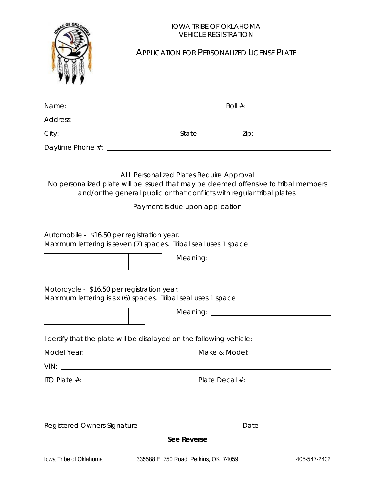|                                             | <b>IOWA TRIBE OF OKLAHOMA</b><br><b>VEHICLE REGISTRATION</b>                                                                                                                                      |                                                                                                                                                                                                                                                                                                                       |              |
|---------------------------------------------|---------------------------------------------------------------------------------------------------------------------------------------------------------------------------------------------------|-----------------------------------------------------------------------------------------------------------------------------------------------------------------------------------------------------------------------------------------------------------------------------------------------------------------------|--------------|
|                                             |                                                                                                                                                                                                   | <b>APPLICATION FOR PERSONALIZED LICENSE PLATE</b>                                                                                                                                                                                                                                                                     |              |
|                                             |                                                                                                                                                                                                   | Roll #: $\frac{1}{2}$ $\frac{1}{2}$ $\frac{1}{2}$ $\frac{1}{2}$ $\frac{1}{2}$ $\frac{1}{2}$ $\frac{1}{2}$ $\frac{1}{2}$ $\frac{1}{2}$ $\frac{1}{2}$ $\frac{1}{2}$ $\frac{1}{2}$ $\frac{1}{2}$ $\frac{1}{2}$ $\frac{1}{2}$ $\frac{1}{2}$ $\frac{1}{2}$ $\frac{1}{2}$ $\frac{1}{2}$ $\frac{1}{2}$ $\frac{1}{2}$ $\frac$ |              |
|                                             |                                                                                                                                                                                                   |                                                                                                                                                                                                                                                                                                                       |              |
|                                             |                                                                                                                                                                                                   |                                                                                                                                                                                                                                                                                                                       |              |
|                                             |                                                                                                                                                                                                   |                                                                                                                                                                                                                                                                                                                       |              |
|                                             | No personalized plate will be issued that may be deemed offensive to tribal members<br>and/or the general public or that conflicts with regular tribal plates.<br>Payment is due upon application |                                                                                                                                                                                                                                                                                                                       |              |
| Automobile - \$16.50 per registration year. | Maximum lettering is seven (7) spaces. Tribal seal uses 1 space                                                                                                                                   |                                                                                                                                                                                                                                                                                                                       |              |
|                                             |                                                                                                                                                                                                   |                                                                                                                                                                                                                                                                                                                       |              |
| Motorcycle - \$16.50 per registration year. | Maximum lettering is six (6) spaces. Tribal seal uses 1 space                                                                                                                                     |                                                                                                                                                                                                                                                                                                                       |              |
|                                             |                                                                                                                                                                                                   |                                                                                                                                                                                                                                                                                                                       |              |
|                                             | I certify that the plate will be displayed on the following vehicle:                                                                                                                              |                                                                                                                                                                                                                                                                                                                       |              |
| Model Year:                                 | <u> 1980 - Andrea Britain, politik eta politik eta politik eta politik eta politik eta politik eta politik eta p</u>                                                                              |                                                                                                                                                                                                                                                                                                                       |              |
|                                             |                                                                                                                                                                                                   |                                                                                                                                                                                                                                                                                                                       |              |
|                                             |                                                                                                                                                                                                   |                                                                                                                                                                                                                                                                                                                       |              |
|                                             |                                                                                                                                                                                                   |                                                                                                                                                                                                                                                                                                                       |              |
| Registered Owners Signature                 |                                                                                                                                                                                                   | Date                                                                                                                                                                                                                                                                                                                  |              |
|                                             | See Reverse                                                                                                                                                                                       |                                                                                                                                                                                                                                                                                                                       |              |
| lowa Tribe of Oklahoma                      | 335588 E. 750 Road, Perkins, OK 74059                                                                                                                                                             |                                                                                                                                                                                                                                                                                                                       | 405-547-2402 |